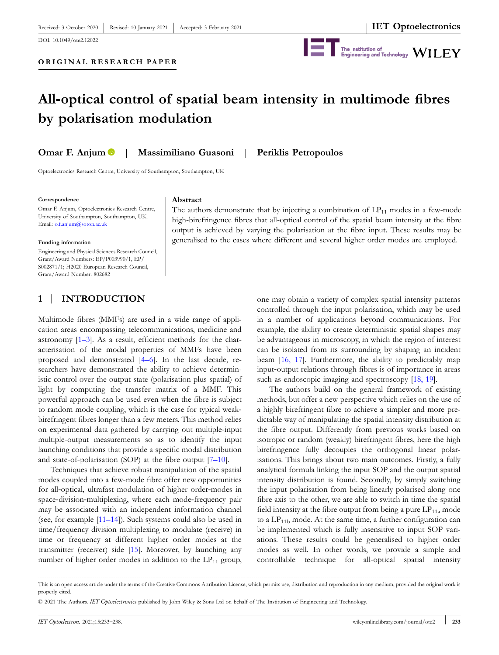DOI: [10.1049/ote2.12022](https://doi.org/10.1049/ote2.12022)



# **All‐optical control of spatial beam intensity in multimode fibres by polarisation modulation**

**Omar F. Anjum** | **Massimiliano Guasoni** | **Periklis Petropoulos**

**Abstract**

Optoelectronics Research Centre, University of Southampton, Southampton, UK

#### **Correspondence**

Omar F. Anjum, Optoelectronics Research Centre, University of Southampton, Southampton, UK. Email: [o.f.anjum@soton.ac.uk](mailto:o.f.anjum@soton.ac.uk)

#### **Funding information**

Engineering and Physical Sciences Research Council, Grant/Award Numbers: EP/P003990/1, EP/ S002871/1; H2020 European Research Council, Grant/Award Number: 802682

# **1** | **INTRODUCTION**

Multimode fibres (MMFs) are used in a wide range of application areas encompassing telecommunications, medicine and astronomy [\[1–3](#page-4-0)]. As a result, efficient methods for the characterisation of the modal properties of MMFs have been proposed and demonstrated [[4–6\]](#page-4-0). In the last decade, researchers have demonstrated the ability to achieve deterministic control over the output state (polarisation plus spatial) of light by computing the transfer matrix of a MMF. This powerful approach can be used even when the fibre is subject to random mode coupling, which is the case for typical weak‐ birefringent fibres longer than a few meters. This method relies on experimental data gathered by carrying out multiple‐input multiple‐output measurements so as to identify the input launching conditions that provide a specific modal distribution and state-of-polarisation (SOP) at the fibre output  $[7-10]$ .

Techniques that achieve robust manipulation of the spatial modes coupled into a few-mode fibre offer new opportunities for all-optical, ultrafast modulation of higher order-modes in space-division-multiplexing, where each mode-frequency pair may be associated with an independent information channel (see, for example [[11–14](#page-4-0)]). Such systems could also be used in time/frequency division multiplexing to modulate (receive) in time or frequency at different higher order modes at the transmitter (receiver) side [[15](#page-5-0)]. Moreover, by launching any number of higher order modes in addition to the  $LP_{11}$  group,

The authors demonstrate that by injecting a combination of  $LP_{11}$  modes in a few-mode high-birefringence fibres that all-optical control of the spatial beam intensity at the fibre output is achieved by varying the polarisation at the fibre input. These results may be generalised to the cases where different and several higher order modes are employed.

> one may obtain a variety of complex spatial intensity patterns controlled through the input polarisation, which may be used in a number of applications beyond communications. For example, the ability to create deterministic spatial shapes may be advantageous in microscopy, in which the region of interest can be isolated from its surrounding by shaping an incident beam [\[16,](#page-5-0) 17]. Furthermore, the ability to predictably map input‐output relations through fibres is of importance in areas such as endoscopic imaging and spectroscopy [\[18,](#page-5-0) 19].

> The authors build on the general framework of existing methods, but offer a new perspective which relies on the use of a highly birefringent fibre to achieve a simpler and more predictable way of manipulating the spatial intensity distribution at the fibre output. Differently from previous works based on isotropic or random (weakly) birefringent fibres, here the high birefringence fully decouples the orthogonal linear polarisations. This brings about two main outcomes. Firstly, a fully analytical formula linking the input SOP and the output spatial intensity distribution is found. Secondly, by simply switching the input polarisation from being linearly polarised along one fibre axis to the other, we are able to switch in time the spatial field intensity at the fibre output from being a pure  $LP_{11a}$  mode to a  $LP_{11b}$  mode. At the same time, a further configuration can be implemented which is fully insensitive to input SOP variations. These results could be generalised to higher order modes as well. In other words, we provide a simple and controllable technique for all-optical spatial intensity

This is an open access article under the terms of the Creative Commons Attribution License, which permits use, distribution and reproduction in any medium, provided the original work is properly cited.

<sup>©</sup> 2021 The Authors. *IET Optoelectronics* published by John Wiley & Sons Ltd on behalf of The Institution of Engineering and Technology.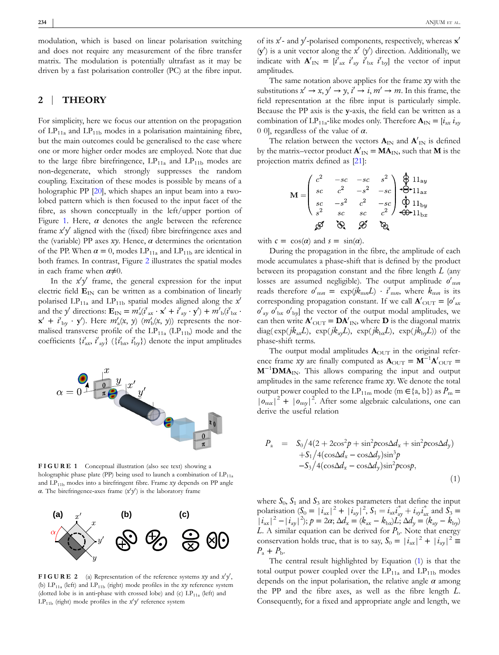<span id="page-1-0"></span>modulation, which is based on linear polarisation switching and does not require any measurement of the fibre transfer matrix. The modulation is potentially ultrafast as it may be driven by a fast polarisation controller (PC) at the fibre input.

## **2** | **THEORY**

For simplicity, here we focus our attention on the propagation of  $LP_{11a}$  and  $LP_{11b}$  modes in a polarisation maintaining fibre, but the main outcomes could be generalised to the case where one or more higher order modes are employed. Note that due to the large fibre birefringence,  $LP_{11a}$  and  $LP_{11b}$  modes are non‐degenerate, which strongly suppresses the random coupling. Excitation of these modes is possible by means of a holographic PP [\[20](#page-5-0)], which shapes an input beam into a twolobed pattern which is then focused to the input facet of the fibre, as shown conceptually in the left/upper portion of Figure 1. Here,  $\alpha$  denotes the angle between the reference frame  $x'y'$  aligned with the (fixed) fibre birefringence axes and the (variable) PP axes  $xy$ . Hence,  $\alpha$  determines the orientation of the PP. When  $\alpha = 0$ , modes LP<sub>11a</sub> and LP<sub>11b</sub> are identical in both frames. In contrast, Figure 2 illustrates the spatial modes in each frame when  $\alpha \neq 0$ .

In the  $x'y'$  frame, the general expression for the input electric field  $\mathbf{E}_{\text{IN}}$  can be written as a combination of linearly polarised LP<sub>11a</sub> and LP<sub>11b</sub> spatial modes aligned along the  $x<sup>0</sup>$ and the *y*<sup>*'*</sup> directions:  $\mathbf{E}_{IN} = m'_a(i'_{ax} \cdot \mathbf{x}' + i'_{ay} \cdot \mathbf{y}') + m'_{b}(i'_{bx} \cdot \mathbf{y}')$  $\mathbf{x}' + i'_{\text{by}} \cdot \mathbf{y}'$ ). Here  $m'_{\text{a}}(x, y)$   $(m'_{\text{b}}(x, y))$  represents the normalised transverse profile of the  $LP_{11a}$  (LP<sub>11b</sub>) mode and the coefficients  $\{i'_{ax}, i'_{ay}\}$   $(\{i'_{bx}, i'_{by}\})$  denote the input amplitudes



**FIGURE 1** Conceptual illustration (also see text) showing a holographic phase plate (PP) being used to launch a combination of  $LP_{11a}$ and LP<sub>11b</sub> modes into a birefringent fibre. Frame *xy* depends on PP angle *α*. The birefringence-axes frame  $(x'y')$  is the laboratory frame



**FIGURE** 2 (a) Representation of the reference systems *xy* and  $x'y'$ , (b) LP11a (left) and LP11b (right) mode profiles in the *xy* reference system (dotted lobe is in anti-phase with crossed lobe) and (c)  $LP_{11a}$  (left) and  $LP_{11b}$  (right) mode profiles in the  $x'y'$  reference system

of its  $x'$ - and  $y'$ -polarised components, respectively, whereas  $x'$  $(y')$  is a unit vector along the  $x'$   $(y')$  direction. Additionally, we indicate with  $\mathbf{A}'_{IN} = [i'_{ax} \ i'_{ay} \ i'_{bx} \ i'_{by}]$  the vector of input amplitudes.

The same notation above applies for the frame *xy* with the substitutions  $x' \rightarrow x$ ,  $y' \rightarrow y$ ,  $i' \rightarrow i$ ,  $m' \rightarrow m$ . In this frame, the field representation at the fibre input is particularly simple. Because the PP axis is the **y**‐axis, the field can be written as a combination of LP<sub>11a</sub>-like modes only. Therefore  $\mathbf{A}_{IN} = [\mathbf{i}_{ax} \mathbf{i}_{ay}]$ 0 0], regardless of the value of *α*.

The relation between the vectors  $\mathbf{A}_{IN}$  and  $\mathbf{A}'_{IN}$  is defined by the matrix–vector product  $\mathbf{A}'_{IN} = \mathbf{M}\mathbf{A}_{IN}$ , such that **M** is the projection matrix defined as [\[21\]](#page-5-0):

$$
\mathbf{M} = \begin{pmatrix} c^2 & -sc & -sc & s^2 \\ sc & c^2 & -s^2 & -sc \\ sc & -s^2 & c^2 & -sc \\ s^2 & sc & sc & c^2 \end{pmatrix} \begin{matrix} \mathbf{\hat{\Phi}} & 11_{\mathbf{a}y} \\ \mathbf{\hat{\Theta}} & 11_{\mathbf{a}x} \\ \mathbf{\hat{\Phi}} & 11_{\mathbf{b}y} \\ \mathbf{\hat{\Phi}} & 11_{\mathbf{b}x} \end{matrix}
$$

with  $c = \cos(\alpha)$  and  $s = \sin(\alpha)$ .

During the propagation in the fibre, the amplitude of each mode accumulates a phase‐shift that is defined by the product between its propagation constant and the fibre length *L* (any losses are assumed negligible). The output amplitude  $o'_{mn}$ reads therefore  $o'_{mn} = \exp(jk_{mn}L) \cdot i'_{mn}$ , where  $k_{mn}$  is its corresponding propagation constant. If we call  $\mathbf{A'}_{\text{OUT}} = [\mathbf{o'}_{\text{ax}}]$  $o'_{ay}$   $o'_{bx}$   $o'_{by}$ ] the vector of the output modal amplitudes, we can then write  $\mathbf{A}'_{\text{OUT}} = \mathbf{DA}'_{\text{IN}}$ , where  $\mathbf{D}$  is the diagonal matrix diag( $\exp(jk_{ax}L)$ ,  $\exp(jk_{ay}L)$ ,  $\exp(jk_{bx}L)$ ,  $\exp(jk_{by}L)$ ) of the phase‐shift terms.

The output modal amplitudes  $A_{\text{OUT}}$  in the original reference frame *xy* are finally computed as  $\mathbf{A}_{\text{OUT}} = \mathbf{M}^{-1} \mathbf{A}'_{\text{OUT}} =$ **M**−<sup>1</sup> **DMA**IN. This allows comparing the input and output amplitudes in the same reference frame *xy*. We denote the total output power coupled to the LP<sub>11m</sub> mode (m  $\in$ {a, b}) as  $P_m$  =  $|o_{\rm mx}|^2 + |o_{\rm my}|^2$ . After some algebraic calculations, one can derive the useful relation

$$
P_a = S_0/4(2 + 2\cos^2 p + \sin^2 p \cos \Delta d_x + \sin^2 p \cos \Delta d_y)
$$
  
+
$$
S_1/4(\cos \Delta d_x - \cos \Delta d_y)\sin^3 p
$$
  
-
$$
S_3/4(\cos \Delta d_x - \cos \Delta d_y)\sin^2 p \cos p,
$$
  
(1)

where  $S_0$ ,  $S_1$  and  $S_3$  are stokes parameters that define the input polarisation  $(S_0 = |i_{ax}|^2 + |i_{ay}|^2, S_1 = i_{ax}i_{ay}^* + i_{ay}i_{ax}^*$  and  $S_3 =$  $|i_{ax}|^2 - |i_{ay}|^2$ ;  $p = 2\alpha$ ;  $\Delta d_x = (k_{ax} - k_{bx})L$ ;  $\Delta d_y = (k_{ay} - k_{by})$ *L*. A similar equation can be derived for  $P<sub>b</sub>$ . Note that energy conservation holds true, that is to say,  $S_0 = |i_{ax}|^2 + |i_{ay}|^2 \equiv$  $P_{\rm a} + P_{\rm b}$ .

The central result highlighted by Equation (1) is that the total output power coupled over the  $LP_{11a}$  and  $LP_{11b}$  modes depends on the input polarisation, the relative angle *α* among the PP and the fibre axes, as well as the fibre length *L*. Consequently, for a fixed and appropriate angle and length, we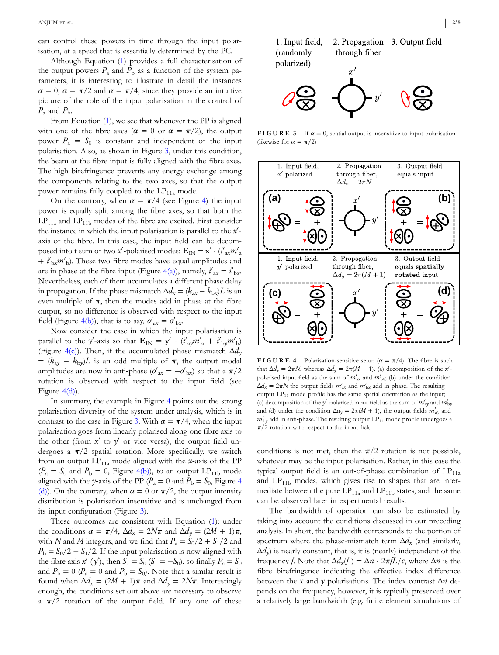<span id="page-2-0"></span>can control these powers in time through the input polarisation, at a speed that is essentially determined by the PC.

Although Equation [\(1\)](#page-1-0) provides a full characterisation of the output powers  $P_a$  and  $P_b$  as a function of the system parameters, it is interesting to illustrate in detail the instances  $\alpha = 0$ ,  $\alpha = \pi/2$  and  $\alpha = \pi/4$ , since they provide an intuitive picture of the role of the input polarisation in the control of  $P_a$  and  $P_b$ .

From Equation ([1\)](#page-1-0), we see that whenever the PP is aligned with one of the fibre axes ( $\alpha = 0$  or  $\alpha = \pi/2$ ), the output power  $P_a = S_0$  is constant and independent of the input polarisation. Also, as shown in Figure 3, under this condition, the beam at the fibre input is fully aligned with the fibre axes. The high birefringence prevents any energy exchange among the components relating to the two axes, so that the output power remains fully coupled to the  $LP_{11a}$  mode.

On the contrary, when  $\alpha = \pi/4$  (see Figure 4) the input power is equally split among the fibre axes, so that both the  $LP_{11a}$  and  $LP_{11b}$  modes of the fibre are excited. First consider the instance in which the input polarisation is parallel to the x'axis of the fibre. In this case, the input field can be decomposed into t sum of two *x*<sup> $\prime$ </sup>-polarised modes:  $\mathbf{E}_{IN} = \mathbf{x}' \cdot (i'_{ax}m'_{a})$ + *i*'<sub>bx</sub>m'<sub>b</sub>). These two fibre modes have equal amplitudes and are in phase at the fibre input (Figure 4(a)), namely,  $i'_{ax} = i'_{bx}$ . Nevertheless, each of them accumulates a different phase delay in propagation. If the phase mismatch  $\Delta d_x = (k_{ax} - k_{bx})L$  is an even multiple of  $\pi$ , then the modes add in phase at the fibre output, so no difference is observed with respect to the input field (Figure 4(b)), that is to say,  $o'_{ax} = o'_{bx}$ .

Now consider the case in which the input polarisation is parallel to the *y'*-axis so that  $\mathbf{E}_{IN} = \mathbf{y}' \cdot (i'_{ay}m'_{a} + i'_{by}m'_{b})$ (Figure 4(c)). Then, if the accumulated phase mismatch Δ*dy*  $=(k_{\text{ay}} - k_{\text{by}})L$  is an odd multiple of  $\pi$ , the output modal amplitudes are now in anti-phase  $(o'_{ax} = -o'_{bx})$  so that a  $\pi/2$ rotation is observed with respect to the input field (see Figure 4(d)).

In summary, the example in Figure 4 points out the strong polarisation diversity of the system under analysis, which is in contrast to the case in Figure 3. With  $\alpha = \pi/4$ , when the input polarisation goes from linearly polarised along one fibre axis to the other (from  $x'$  to  $y'$  or vice versa), the output field undergoes a  $\pi/2$  spatial rotation. More specifically, we switch from an output  $LP_{11a}$  mode aligned with the *x*-axis of the PP  $(P_a = S_0$  and  $P_b = 0$ , Figure 4(b)), to an output LP<sub>11b</sub> mode aligned with the *y*-axis of the PP ( $P_a = 0$  and  $P_b = S_0$ , Figure 4 (d)). On the contrary, when  $\alpha = 0$  or  $\pi/2$ , the output intensity distribution is polarisation insensitive and is unchanged from its input configuration (Figure 3).

These outcomes are consistent with Equation [\(1\)](#page-1-0): under the conditions  $\alpha = \pi/4$ ,  $\Delta d_x = 2N\pi$  and  $\Delta d_y = (2M + 1)\pi$ , with *N* and *M* integers, and we find that  $P_a = S_0/2 + S_1/2$  and  $P<sub>b</sub> = S<sub>0</sub>/2 - S<sub>1</sub>/2$ . If the input polarisation is now aligned with the fibre axis  $x'(y')$ , then  $S_1 = S_0$  ( $S_1 = -S_0$ ), so finally  $P_a = S_0$ and  $P_b = 0$  ( $P_a = 0$  and  $P_b = S_0$ ). Note that a similar result is found when  $\Delta d_x = (2M + 1)\pi$  and  $\Delta d_y = 2N\pi$ . Interestingly enough, the conditions set out above are necessary to observe a  $\pi/2$  rotation of the output field. If any one of these



**FIGURE 3** If  $\alpha = 0$ , spatial output is insensitive to input polarisation (likewise for  $\alpha = \pi/2$ )



**FIGURE** 4 Polarisation-sensitive setup ( $\alpha = \pi/4$ ). The fibre is such that  $\Delta d_x = 2\pi N$ , whereas  $\Delta d_y = 2\pi (M + 1)$ . (a) decomposition of the *x'*polarised input field as the sum of  $m'_{ax}$  and  $m'_{bx}$ ; (b) under the condition  $\Delta d_x = 2\pi N$  the output fields  $m'_{ax}$  and  $m'_{bx}$  add in phase. The resulting output  $LP_{11}$  mode profile has the same spatial orientation as the input; (c) decomposition of the  $y'$ -polarised input field as the sum of  $m'_{xy}$  and  $m'_{by}$ and (d) under the condition  $\Delta d_y = 2\pi (M + 1)$ , the output fields  $m'_{xy}$  and  $m'_{\text{by}}$  add in anti-phase. The resulting output  $\text{LP}_{11}$  mode profile undergoes a *π*/2 rotation with respect to the input field

conditions is not met, then the  $\pi/2$  rotation is not possible, whatever may be the input polarisation. Rather, in this case the typical output field is an out-of-phase combination of  $LP_{11a}$ and  $LP_{11b}$  modes, which gives rise to shapes that are intermediate between the pure  $LP_{11a}$  and  $LP_{11b}$  states, and the same can be observed later in experimental results.

The bandwidth of operation can also be estimated by taking into account the conditions discussed in our preceding analysis. In short, the bandwidth corresponds to the portion of spectrum where the phase-mismatch term  $\Delta d_x$  (and similarly,  $\Delta d_{v}$ ) is nearly constant, that is, it is (nearly) independent of the frequency *f*. Note that  $\Delta d_x(f) = \Delta n \cdot 2\pi fL/c$ , where  $\Delta n$  is the fibre birefringence indicating the effective index difference between the *x* and *y* polarisations. The index contrast Δ*n* depends on the frequency, however, it is typically preserved over a relatively large bandwidth (e.g. finite element simulations of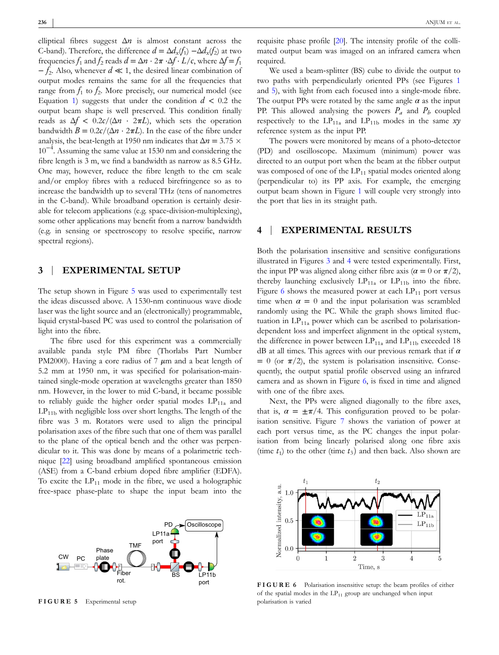elliptical fibres suggest  $\Delta n$  is almost constant across the C-band). Therefore, the difference  $d = \Delta d_x(f_1) - \Delta d_x(f_2)$  at two frequencies  $f_1$  and  $f_2$  reads  $d = \Delta n \cdot 2\pi \cdot \Delta f \cdot L/c$ , where  $\Delta f = f_1$ − *f*2. Also, whenever *d* ≪ 1, the desired linear combination of output modes remains the same for all the frequencies that range from  $f_1$  to  $f_2$ . More precisely, our numerical model (see Equation [1\)](#page-1-0) suggests that under the condition  $d < 0.2$  the output beam shape is well preserved. This condition finally reads as  $\Delta f$  < 0.2*c*/( $\Delta n$  · 2 $\pi L$ ), which sets the operation bandwidth  $B = 0.2c/(\Delta n \cdot 2\pi L)$ . In the case of the fibre under analysis, the beat-length at 1950 nm indicates that  $\Delta n = 3.75 \times$ 10−<sup>4</sup> . Assuming the same value at 1530 nm and considering the fibre length is 3 m, we find a bandwidth as narrow as 8.5 GHz. One may, however, reduce the fibre length to the cm scale and/or employ fibres with a reduced birefringence so as to increase the bandwidth up to several THz (tens of nanometres in the C-band). While broadband operation is certainly desirable for telecom applications (e.g. space‐division‐multiplexing), some other applications may benefit from a narrow bandwidth (e.g. in sensing or spectroscopy to resolve specific, narrow spectral regions).

# **3** | **EXPERIMENTAL SETUP**

The setup shown in Figure 5 was used to experimentally test the ideas discussed above. A 1530‐nm continuous wave diode laser was the light source and an (electronically) programmable, liquid crystal‐based PC was used to control the polarisation of light into the fibre.

The fibre used for this experiment was a commercially available panda style PM fibre (Thorlabs Part Number PM2000). Having a core radius of 7 *μ*m and a beat length of 5.2 mm at 1950 nm, it was specified for polarisation‐maintained single‐mode operation at wavelengths greater than 1850 nm. However, in the lower to mid C‐band, it became possible to reliably guide the higher order spatial modes  $LP_{11a}$  and  $LP_{11b}$  with negligible loss over short lengths. The length of the fibre was 3 m. Rotators were used to align the principal polarisation axes of the fibre such that one of them was parallel to the plane of the optical bench and the other was perpendicular to it. This was done by means of a polarimetric technique [\[22](#page-5-0)] using broadband amplified spontaneous emission (ASE) from a C‐band erbium doped fibre amplifier (EDFA). To excite the  $LP_{11}$  mode in the fibre, we used a holographic free‐space phase‐plate to shape the input beam into the



**FIGURE 5** Experimental setup

requisite phase profile [[20\]](#page-5-0). The intensity profile of the collimated output beam was imaged on an infrared camera when required.

We used a beam‐splitter (BS) cube to divide the output to two paths with perpendicularly oriented PPs (see Figures [1](#page-1-0) and 5), with light from each focused into a single-mode fibre. The output PPs were rotated by the same angle  $\alpha$  as the input PP. This allowed analysing the powers  $P_a$  and  $P_b$  coupled respectively to the  $LP_{11a}$  and  $LP_{11b}$  modes in the same *xy* reference system as the input PP.

The powers were monitored by means of a photo‐detector (PD) and oscilloscope. Maximum (minimum) power was directed to an output port when the beam at the fibber output was composed of one of the  $LP_{11}$  spatial modes oriented along (perpendicular to) its PP axis. For example, the emerging output beam shown in Figure [1](#page-1-0) will couple very strongly into the port that lies in its straight path.

# **4** | **EXPERIMENTAL RESULTS**

Both the polarisation insensitive and sensitive configurations illustrated in Figures [3](#page-2-0) and [4](#page-2-0) were tested experimentally. First, the input PP was aligned along either fibre axis ( $\alpha = 0$  or  $\pi/2$ ), thereby launching exclusively  $LP_{11a}$  or  $LP_{11b}$  into the fibre. Figure 6 shows the measured power at each  $LP_{11}$  port versus time when  $\alpha = 0$  and the input polarisation was scrambled randomly using the PC. While the graph shows limited fluctuation in  $LP_{11a}$  power which can be ascribed to polarisationdependent loss and imperfect alignment in the optical system, the difference in power between  $LP_{11a}$  and  $LP_{11b}$  exceeded 18 dB at all times. This agrees with our previous remark that if *α*  $= 0$  (or  $\pi/2$ ), the system is polarisation insensitive. Consequently, the output spatial profile observed using an infrared camera and as shown in Figure 6, is fixed in time and aligned with one of the fibre axes.

Next, the PPs were aligned diagonally to the fibre axes, that is,  $\alpha = \pm \pi/4$ . This configuration proved to be polarisation sensitive. Figure [7](#page-4-0) shows the variation of power at each port versus time, as the PC changes the input polarisation from being linearly polarised along one fibre axis (time  $t_1$ ) to the other (time  $t_3$ ) and then back. Also shown are



**FIGURE 6** Polarisation insensitive setup: the beam profiles of either of the spatial modes in the  $LP_{11}$  group are unchanged when input polarisation is varied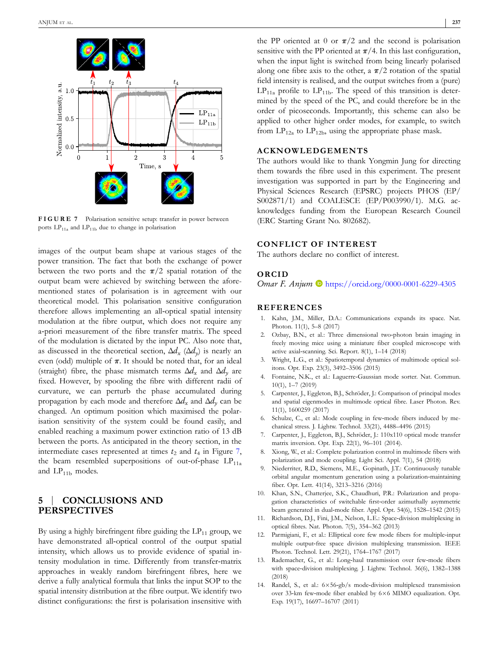<span id="page-4-0"></span>

**FIGURE 7** Polarisation sensitive setup: transfer in power between ports  $LP_{11a}$  and  $LP_{11b}$  due to change in polarisation

images of the output beam shape at various stages of the power transition. The fact that both the exchange of power between the two ports and the  $\pi/2$  spatial rotation of the output beam were achieved by switching between the aforementioned states of polarisation is in agreement with our theoretical model. This polarisation sensitive configuration therefore allows implementing an all‐optical spatial intensity modulation at the fibre output, which does not require any a‐priori measurement of the fibre transfer matrix. The speed of the modulation is dictated by the input PC. Also note that, as discussed in the theoretical section,  $\Delta d_x$  ( $\Delta d_y$ ) is nearly an even (odd) multiple of  $\pi$ . It should be noted that, for an ideal (straight) fibre, the phase mismatch terms  $\Delta d_x$  and  $\Delta d_y$  are fixed. However, by spooling the fibre with different radii of curvature, we can perturb the phase accumulated during propagation by each mode and therefore  $\Delta d_x$  and  $\Delta d_y$  can be changed. An optimum position which maximised the polarisation sensitivity of the system could be found easily, and enabled reaching a maximum power extinction ratio of 13 dB between the ports. As anticipated in the theory section, in the intermediate cases represented at times  $t_2$  and  $t_4$  in Figure 7, the beam resembled superpositions of out-of-phase  $LP_{11a}$ and  $LP_{11b}$  modes.

# **5** | **CONCLUSIONS AND PERSPECTIVES**

By using a highly birefringent fibre guiding the  $LP_{11}$  group, we have demonstrated all-optical control of the output spatial intensity, which allows us to provide evidence of spatial intensity modulation in time. Differently from transfer‐matrix approaches in weakly random birefringent fibres, here we derive a fully analytical formula that links the input SOP to the spatial intensity distribution at the fibre output. We identify two distinct configurations: the first is polarisation insensitive with

the PP oriented at 0 or  $\pi/2$  and the second is polarisation sensitive with the PP oriented at  $\pi/4$ . In this last configuration, when the input light is switched from being linearly polarised along one fibre axis to the other, a  $\pi/2$  rotation of the spatial field intensity is realised, and the output switches from a (pure)  $LP_{11a}$  profile to  $LP_{11b}$ . The speed of this transition is determined by the speed of the PC, and could therefore be in the order of picoseconds. Importantly, this scheme can also be applied to other higher order modes, for example, to switch from  $LP_{12a}$  to  $LP_{12b}$ , using the appropriate phase mask.

### **ACKNOWLEDGEMENTS**

The authors would like to thank Yongmin Jung for directing them towards the fibre used in this experiment. The present investigation was supported in part by the Engineering and Physical Sciences Research (EPSRC) projects PHOS (EP/ S002871/1) and COALESCE (EP/P003990/1). M.G. acknowledges funding from the European Research Council (ERC Starting Grant No. 802682).

#### **CONFLICT OF INTEREST**

The authors declare no conflict of interest.

#### **ORCID**

*Omar F. Anjum* **D** <https://orcid.org/0000-0001-6229-4305>

#### **REFERENCES**

- 1. Kahn, J.M., Miller, D.A.: Communications expands its space. Nat. Photon. 11(1), 5–8 (2017)
- 2. Ozbay, B.N., et al.: Three dimensional two‐photon brain imaging in freely moving mice using a miniature fiber coupled microscope with active axial‐scanning. Sci. Report. 8(1), 1–14 (2018)
- 3. Wright, L.G., et al.: Spatiotemporal dynamics of multimode optical solitons. Opt. Exp. 23(3), 3492–3506 (2015)
- 4. Fontaine, N.K., et al.: Laguerre‐Gaussian mode sorter. Nat. Commun. 10(1), 1–7 (2019)
- 5. Carpenter, J., Eggleton, B.J., Schröder, J.: Comparison of principal modes and spatial eigenmodes in multimode optical fibre. Laser Photon. Rev. 11(1), 1600259 (2017)
- 6. Schulze, C., et al.: Mode coupling in few‐mode fibers induced by mechanical stress. J. Lightw. Technol. 33(21), 4488–4496 (2015)
- 7. Carpenter, J., Eggleton, B.J., Schröder, J.: 110x110 optical mode transfer matrix inversion. Opt. Exp. 22(1), 96–101 (2014).
- 8. Xiong, W., et al.: Complete polarization control in multimode fibers with polarization and mode coupling. Light Sci. Appl. 7(1), 54 (2018)
- 9. Niederriter, R.D., Siemens, M.E., Gopinath, J.T.: Continuously tunable orbital angular momentum generation using a polarization‐maintaining fiber. Opt. Lett. 41(14), 3213–3216 (2016)
- 10. Khan, S.N., Chatterjee, S.K., Chaudhuri, P.R.: Polarization and propagation characteristics of switchable first-order azimuthally asymmetric beam generated in dual‐mode fiber. Appl. Opt. 54(6), 1528–1542 (2015)
- 11. Richardson, D.J., Fini, J.M., Nelson, L.E.: Space-division multiplexing in optical fibres. Nat. Photon. 7(5), 354–362 (2013)
- 12. Parmigiani, F., et al.: Elliptical core few mode fibers for multiple-input multiple output‐free space division multiplexing transmission. IEEE Photon. Technol. Lett. 29(21), 1764–1767 (2017)
- 13. Rademacher, G., et al.: Long-haul transmission over few-mode fibers with space-division multiplexing. J. Lightw. Technol. 36(6), 1382-1388 (2018)
- 14. Randel, S., et al.:  $6\times56$ -gb/s mode-division multiplexed transmission over 33-km few-mode fiber enabled by 6×6 MIMO equalization. Opt. Exp. 19(17), 16697–16707 (2011)